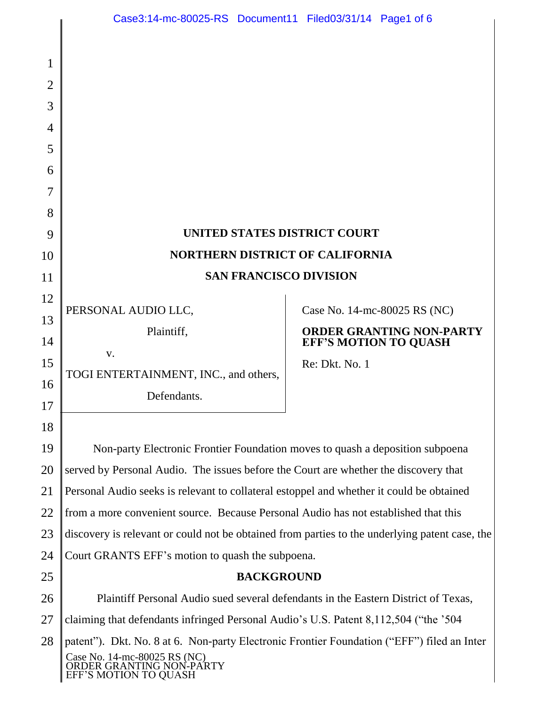# **UNITED STATES DISTRICT COURT NORTHERN DISTRICT OF CALIFORNIA SAN FRANCISCO DIVISION**

PERSONAL AUDIO LLC,

v.

1

2

3

4

5

6

7

8

9

10

11

12

13

14

15

16

17

18

25

Plaintiff,

TOGI ENTERTAINMENT, INC., and others,

Defendants.

Case No. 14-mc-80025 RS (NC)

### **ORDER GRANTING NON-PARTY EFF'S MOTION TO QUASH**

Re: Dkt. No. 1

19 20 21 22 23 24 Non-party Electronic Frontier Foundation moves to quash a deposition subpoena served by Personal Audio. The issues before the Court are whether the discovery that Personal Audio seeks is relevant to collateral estoppel and whether it could be obtained from a more convenient source. Because Personal Audio has not established that this discovery is relevant or could not be obtained from parties to the underlying patent case, the Court GRANTS EFF"s motion to quash the subpoena.

# **BACKGROUND**

26 27 28 Case No. 14-mc-80025 RS (NC) ORDER GRANTING NON-PARTY EFF"S MOTION TO QUASH Plaintiff Personal Audio sued several defendants in the Eastern District of Texas, claiming that defendants infringed Personal Audio"s U.S. Patent 8,112,504 ("the "504 patent"). Dkt. No. 8 at 6. Non-party Electronic Frontier Foundation ("EFF") filed an Inter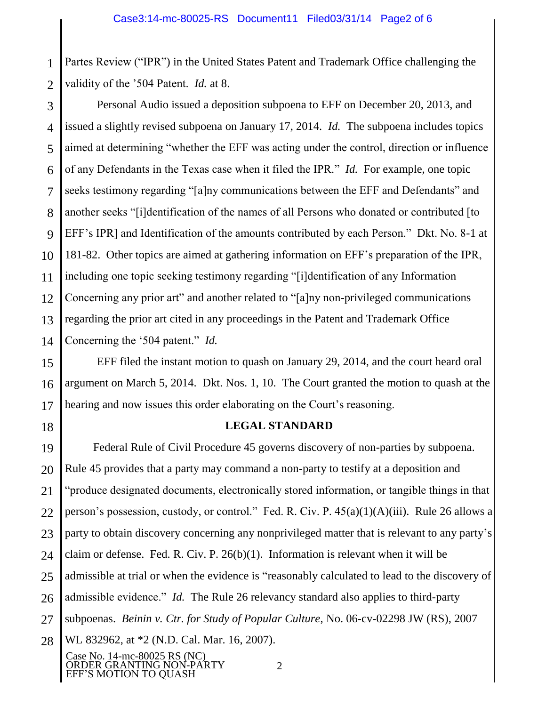1 2 Partes Review ("IPR") in the United States Patent and Trademark Office challenging the validity of the "504 Patent. *Id.* at 8.

3 4 5 6 7 8 9 10 11 12 13 14 Personal Audio issued a deposition subpoena to EFF on December 20, 2013, and issued a slightly revised subpoena on January 17, 2014. *Id.* The subpoena includes topics aimed at determining "whether the EFF was acting under the control, direction or influence of any Defendants in the Texas case when it filed the IPR." *Id.* For example, one topic seeks testimony regarding "[a]ny communications between the EFF and Defendants" and another seeks "[i]dentification of the names of all Persons who donated or contributed [to EFF"s IPR] and Identification of the amounts contributed by each Person." Dkt. No. 8-1 at 181-82. Other topics are aimed at gathering information on EFF"s preparation of the IPR, including one topic seeking testimony regarding "[i]dentification of any Information Concerning any prior art" and another related to "[a]ny non-privileged communications regarding the prior art cited in any proceedings in the Patent and Trademark Office Concerning the "504 patent." *Id.*

15 16 17 EFF filed the instant motion to quash on January 29, 2014, and the court heard oral argument on March 5, 2014. Dkt. Nos. 1, 10. The Court granted the motion to quash at the hearing and now issues this order elaborating on the Court's reasoning.

18

# **LEGAL STANDARD**

19 20 21 22 23 24 25 26 27 28 Federal Rule of Civil Procedure 45 governs discovery of non-parties by subpoena. Rule 45 provides that a party may command a non-party to testify at a deposition and "produce designated documents, electronically stored information, or tangible things in that person"s possession, custody, or control." Fed. R. Civ. P. 45(a)(1)(A)(iii). Rule 26 allows a party to obtain discovery concerning any nonprivileged matter that is relevant to any party"s claim or defense. Fed. R. Civ. P. 26(b)(1). Information is relevant when it will be admissible at trial or when the evidence is "reasonably calculated to lead to the discovery of admissible evidence." *Id.* The Rule 26 relevancy standard also applies to third-party subpoenas. *Beinin v. Ctr. for Study of Popular Culture*, No. 06-cv-02298 JW (RS), 2007 WL 832962, at \*2 (N.D. Cal. Mar. 16, 2007).

Case No. 14-mc-80025 RS (NC) ORDER GRANTING NON-PARTY EFF"S MOTION TO QUASH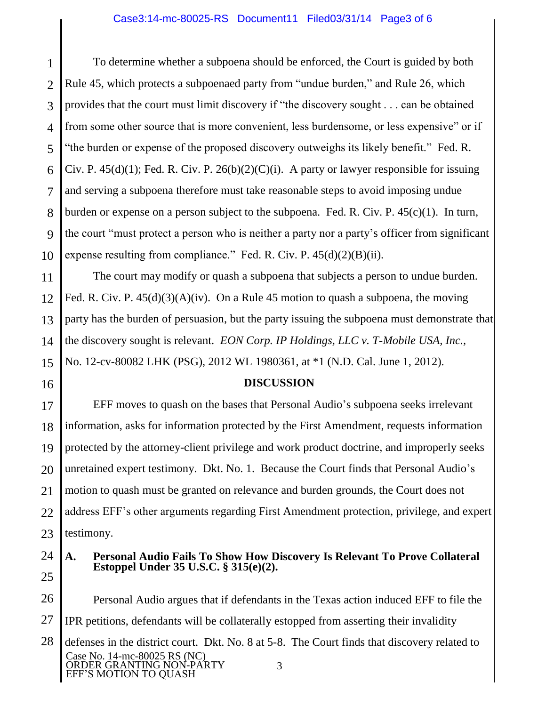#### Case3:14-mc-80025-RS Document11 Filed03/31/14 Page3 of 6

1 2 3 4 5 6 7 8 9 10 To determine whether a subpoena should be enforced, the Court is guided by both Rule 45, which protects a subpoenaed party from "undue burden," and Rule 26, which provides that the court must limit discovery if "the discovery sought . . . can be obtained from some other source that is more convenient, less burdensome, or less expensive" or if "the burden or expense of the proposed discovery outweighs its likely benefit." Fed. R. Civ. P.  $45(d)(1)$ ; Fed. R. Civ. P.  $26(b)(2)(C)(i)$ . A party or lawyer responsible for issuing and serving a subpoena therefore must take reasonable steps to avoid imposing undue burden or expense on a person subject to the subpoena. Fed. R. Civ. P. 45(c)(1). In turn, the court "must protect a person who is neither a party nor a party"s officer from significant expense resulting from compliance." Fed. R. Civ. P.  $45(d)(2)(B)(ii)$ .

11 12 13 14 15 The court may modify or quash a subpoena that subjects a person to undue burden. Fed. R. Civ. P.  $45(d)(3)(A)(iv)$ . On a Rule 45 motion to quash a subpoena, the moving party has the burden of persuasion, but the party issuing the subpoena must demonstrate that the discovery sought is relevant. *EON Corp. IP Holdings, LLC v. T-Mobile USA, Inc.,* No. 12-cv-80082 LHK (PSG), 2012 WL 1980361, at \*1 (N.D. Cal. June 1, 2012).

16

#### **DISCUSSION**

17 18 19 20 21 22 23 EFF moves to quash on the bases that Personal Audio"s subpoena seeks irrelevant information, asks for information protected by the First Amendment, requests information protected by the attorney-client privilege and work product doctrine, and improperly seeks unretained expert testimony. Dkt. No. 1. Because the Court finds that Personal Audio"s motion to quash must be granted on relevance and burden grounds, the Court does not address EFF"s other arguments regarding First Amendment protection, privilege, and expert testimony.

24

25

#### **A. Personal Audio Fails To Show How Discovery Is Relevant To Prove Collateral Estoppel Under 35 U.S.C. § 315(e)(2).**

26 27 28 Case No. 14-mc-80025 RS (NC) ORDER GRANTING NON-PARTY EFF"S MOTION TO QUASH 3 Personal Audio argues that if defendants in the Texas action induced EFF to file the IPR petitions, defendants will be collaterally estopped from asserting their invalidity defenses in the district court. Dkt. No. 8 at 5-8. The Court finds that discovery related to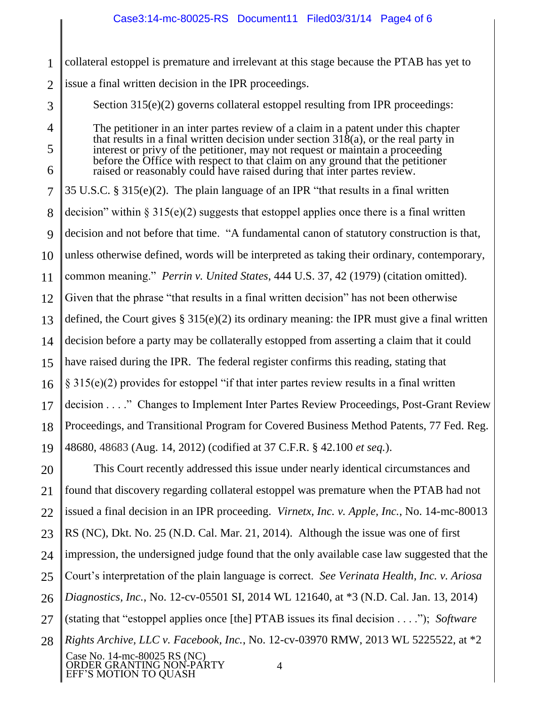1 2 collateral estoppel is premature and irrelevant at this stage because the PTAB has yet to issue a final written decision in the IPR proceedings.

Section 315(e)(2) governs collateral estoppel resulting from IPR proceedings:

3

4

5

6

The petitioner in an inter partes review of a claim in a patent under this chapter that results in a final written decision under section  $31\delta(a)$ , or the real party in interest or privy of the petitioner, may not request or maintain a proceeding before the Office with respect to that claim on any ground that the petitioner raised or reasonably could have raised during that inter partes review.

7 8 9 10 11 12 13 14 15 16 17 18 19 35 U.S.C. § 315(e)(2). The plain language of an IPR "that results in a final written decision" within  $\S 315(e)(2)$  suggests that estoppel applies once there is a final written decision and not before that time. "A fundamental canon of statutory construction is that, unless otherwise defined, words will be interpreted as taking their ordinary, contemporary, common meaning." *Perrin v. United States*, 444 U.S. 37, 42 (1979) (citation omitted). Given that the phrase "that results in a final written decision" has not been otherwise defined, the Court gives § 315(e)(2) its ordinary meaning: the IPR must give a final written decision before a party may be collaterally estopped from asserting a claim that it could have raised during the IPR. The federal register confirms this reading, stating that  $\S 315(e)(2)$  provides for estoppel "if that inter partes review results in a final written decision . . . ." Changes to Implement Inter Partes Review Proceedings, Post-Grant Review Proceedings, and Transitional Program for Covered Business Method Patents, 77 Fed. Reg. 48680, 48683 (Aug. 14, 2012) (codified at 37 C.F.R. § 42.100 *et seq.*).

20 21 22 23 24 25 26 27 28 Case No. 14-mc-80025 RS (NC) ORDER GRANTING NON-PARTY This Court recently addressed this issue under nearly identical circumstances and found that discovery regarding collateral estoppel was premature when the PTAB had not issued a final decision in an IPR proceeding. *Virnetx, Inc. v. Apple, Inc.*, No. 14-mc-80013 RS (NC), Dkt. No. 25 (N.D. Cal. Mar. 21, 2014). Although the issue was one of first impression, the undersigned judge found that the only available case law suggested that the Court"s interpretation of the plain language is correct. *See Verinata Health, Inc. v. Ariosa Diagnostics, Inc.*, No. 12-cv-05501 SI, 2014 WL 121640, at \*3 (N.D. Cal. Jan. 13, 2014) (stating that "estoppel applies once [the] PTAB issues its final decision . . . ."); *Software Rights Archive, LLC v. Facebook, Inc.*, No. 12-cv-03970 RMW, 2013 WL 5225522, at \*2

EFF"S MOTION TO QUASH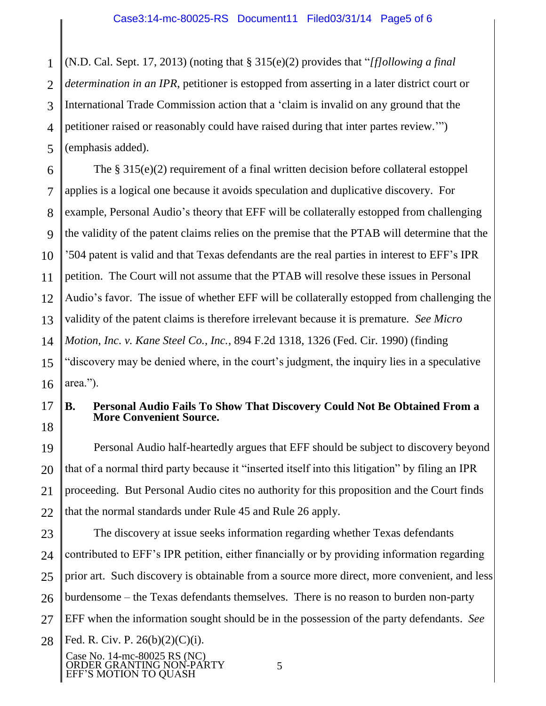1 2 3 4 5 (N.D. Cal. Sept. 17, 2013) (noting that § 315(e)(2) provides that "*[f]ollowing a final determination in an IPR*, petitioner is estopped from asserting in a later district court or International Trade Commission action that a "claim is invalid on any ground that the petitioner raised or reasonably could have raised during that inter partes review."") (emphasis added).

6 7 8 9 10 11 12 13 14 15 16 The § 315(e)(2) requirement of a final written decision before collateral estoppel applies is a logical one because it avoids speculation and duplicative discovery. For example, Personal Audio's theory that EFF will be collaterally estopped from challenging the validity of the patent claims relies on the premise that the PTAB will determine that the "504 patent is valid and that Texas defendants are the real parties in interest to EFF"s IPR petition. The Court will not assume that the PTAB will resolve these issues in Personal Audio"s favor. The issue of whether EFF will be collaterally estopped from challenging the validity of the patent claims is therefore irrelevant because it is premature. *See Micro Motion, Inc. v. Kane Steel Co., Inc.*, 894 F.2d 1318, 1326 (Fed. Cir. 1990) (finding "discovery may be denied where, in the court"s judgment, the inquiry lies in a speculative area.").

#### 17 18 **B. Personal Audio Fails To Show That Discovery Could Not Be Obtained From a More Convenient Source.**

19 20 21 22 Personal Audio half-heartedly argues that EFF should be subject to discovery beyond that of a normal third party because it "inserted itself into this litigation" by filing an IPR proceeding. But Personal Audio cites no authority for this proposition and the Court finds that the normal standards under Rule 45 and Rule 26 apply.

23 24 25 26 27 28 The discovery at issue seeks information regarding whether Texas defendants contributed to EFF"s IPR petition, either financially or by providing information regarding prior art. Such discovery is obtainable from a source more direct, more convenient, and less burdensome – the Texas defendants themselves. There is no reason to burden non-party EFF when the information sought should be in the possession of the party defendants. *See* Fed. R. Civ. P.  $26(b)(2)(C)(i)$ .

Case No. 14-mc-80025 RS (NC) ORDER GRANTING NON-PARTY EFF"S MOTION TO QUASH

5